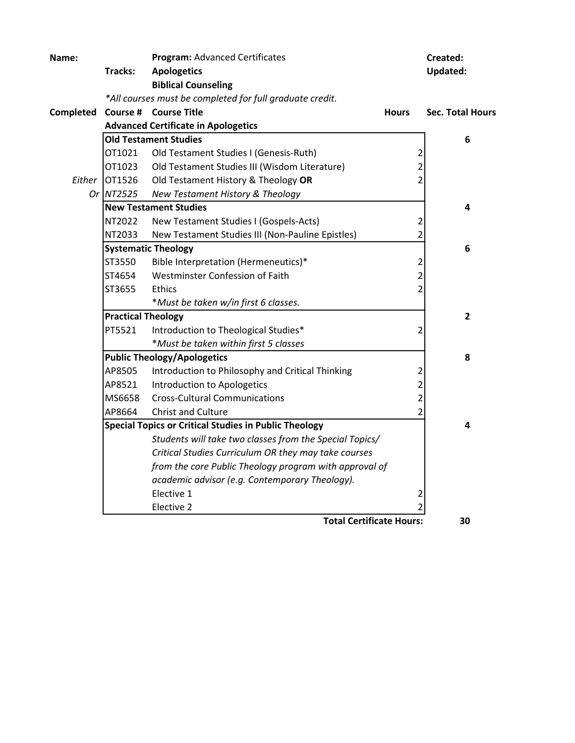| Name:     |                                    | <b>Program: Advanced Certificates</b>                        |                         | Created:                |
|-----------|------------------------------------|--------------------------------------------------------------|-------------------------|-------------------------|
|           | Tracks:                            | <b>Apologetics</b>                                           |                         | <b>Updated:</b>         |
|           |                                    | <b>Biblical Counseling</b>                                   |                         |                         |
|           |                                    | *All courses must be completed for full graduate credit.     |                         |                         |
| Completed |                                    | Course # Course Title                                        | <b>Hours</b>            | <b>Sec. Total Hours</b> |
|           |                                    | <b>Advanced Certificate in Apologetics</b>                   |                         |                         |
|           |                                    | <b>Old Testament Studies</b>                                 |                         | 6                       |
|           | OT1021                             | Old Testament Studies I (Genesis-Ruth)                       | $\overline{c}$          |                         |
|           | OT1023                             | Old Testament Studies III (Wisdom Literature)                | $\overline{2}$          |                         |
| Either    | OT1526                             | Old Testament History & Theology OR                          | $\overline{2}$          |                         |
|           | Or NT2525                          | New Testament History & Theology                             |                         |                         |
|           |                                    | <b>New Testament Studies</b>                                 |                         | 4                       |
|           | NT2022                             | New Testament Studies I (Gospels-Acts)                       | 2                       |                         |
|           | NT2033                             | New Testament Studies III (Non-Pauline Epistles)             | $\overline{2}$          |                         |
|           |                                    | <b>Systematic Theology</b>                                   |                         | 6                       |
|           | ST3550                             | Bible Interpretation (Hermeneutics)*                         | 2                       |                         |
|           | ST4654                             | Westminster Confession of Faith                              | $\overline{c}$          |                         |
|           | ST3655                             | <b>Ethics</b>                                                | $\overline{2}$          |                         |
|           |                                    | *Must be taken w/in first 6 classes.                         |                         |                         |
|           | <b>Practical Theology</b>          |                                                              |                         | 2                       |
|           | PT5521                             | Introduction to Theological Studies*                         | $\overline{2}$          |                         |
|           |                                    | *Must be taken within first 5 classes                        |                         |                         |
|           | <b>Public Theology/Apologetics</b> | 8                                                            |                         |                         |
|           | AP8505                             | Introduction to Philosophy and Critical Thinking             | 2                       |                         |
|           | AP8521                             | Introduction to Apologetics                                  | $\overline{\mathbf{c}}$ |                         |
|           | MS6658                             | <b>Cross-Cultural Communications</b>                         | $\overline{2}$          |                         |
|           | AP8664                             | Christ and Culture                                           | $\overline{2}$          |                         |
|           |                                    | <b>Special Topics or Critical Studies in Public Theology</b> |                         | 4                       |
|           |                                    | Students will take two classes from the Special Topics/      |                         |                         |
|           |                                    | Critical Studies Curriculum OR they may take courses         |                         |                         |
|           |                                    | from the core Public Theology program with approval of       |                         |                         |
|           |                                    | academic advisor (e.g. Contemporary Theology).               |                         |                         |
|           |                                    | Elective 1                                                   | 2                       |                         |
|           |                                    | Elective 2                                                   |                         |                         |
|           |                                    | <b>Total Certificate Hours:</b>                              |                         | 30                      |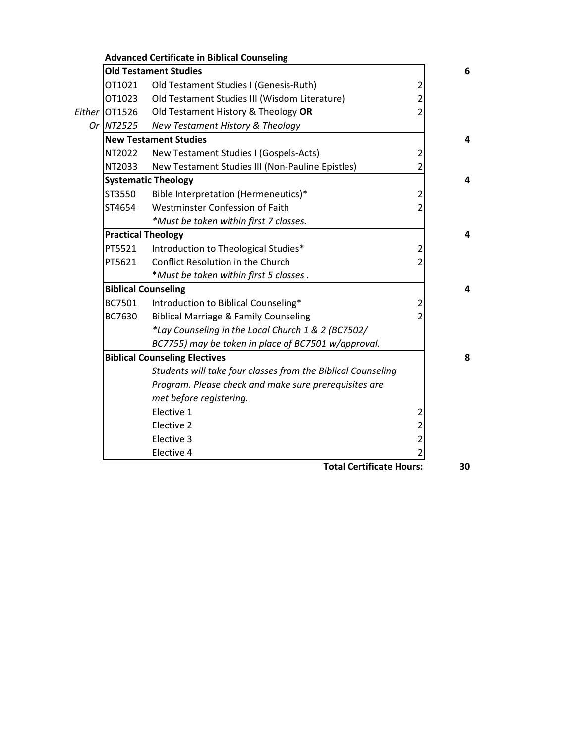|               | <b>Advanced Certificate in Biblical Counseling</b>           |                |
|---------------|--------------------------------------------------------------|----------------|
|               | <b>Old Testament Studies</b>                                 |                |
| OT1021        | Old Testament Studies I (Genesis-Ruth)                       | $\overline{2}$ |
| OT1023        | Old Testament Studies III (Wisdom Literature)                | $\overline{2}$ |
| Either OT1526 | Old Testament History & Theology OR                          | $\overline{2}$ |
| Or NT2525     | New Testament History & Theology                             |                |
|               | <b>New Testament Studies</b>                                 |                |
| NT2022        | New Testament Studies I (Gospels-Acts)                       | $\overline{c}$ |
| NT2033        | New Testament Studies III (Non-Pauline Epistles)             | 2              |
|               | <b>Systematic Theology</b>                                   |                |
| ST3550        | Bible Interpretation (Hermeneutics)*                         | $\overline{2}$ |
| ST4654        | Westminster Confession of Faith                              | 2              |
|               | *Must be taken within first 7 classes.                       |                |
|               | <b>Practical Theology</b>                                    |                |
| PT5521        | Introduction to Theological Studies*                         | 2              |
| PT5621        | Conflict Resolution in the Church                            | 2              |
|               | *Must be taken within first 5 classes.                       |                |
|               | <b>Biblical Counseling</b>                                   |                |
| BC7501        | Introduction to Biblical Counseling*                         | $\overline{2}$ |
| BC7630        | <b>Biblical Marriage &amp; Family Counseling</b>             |                |
|               | *Lay Counseling in the Local Church 1 & 2 (BC7502/           |                |
|               | BC7755) may be taken in place of BC7501 w/approval.          |                |
|               | <b>Biblical Counseling Electives</b>                         |                |
|               | Students will take four classes from the Biblical Counseling |                |
|               | Program. Please check and make sure prerequisites are        |                |
|               | met before registering.                                      |                |
|               | Elective 1                                                   | $\overline{2}$ |
|               | Elective 2                                                   | $\overline{2}$ |
|               | Elective 3                                                   | $\overline{c}$ |
|               | Elective 4                                                   | 2              |

**Total Certificate Hours: 30**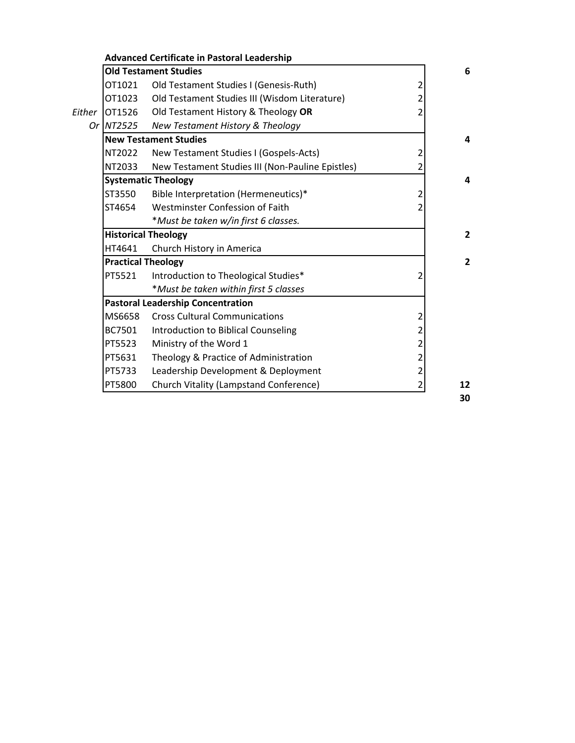|                  | <b>Old Testament Studies</b>                     |                |  |  |  |
|------------------|--------------------------------------------------|----------------|--|--|--|
| OT1021           | Old Testament Studies I (Genesis-Ruth)           | 2              |  |  |  |
| OT1023           | Old Testament Studies III (Wisdom Literature)    | 2              |  |  |  |
| Either<br>OT1526 | Old Testament History & Theology OR              | 2              |  |  |  |
| Or NT2525        | New Testament History & Theology                 |                |  |  |  |
|                  | <b>New Testament Studies</b>                     |                |  |  |  |
| NT2022           | New Testament Studies I (Gospels-Acts)           | 2              |  |  |  |
| NT2033           | New Testament Studies III (Non-Pauline Epistles) | 2              |  |  |  |
|                  | <b>Systematic Theology</b>                       |                |  |  |  |
| ST3550           | Bible Interpretation (Hermeneutics)*             | 2              |  |  |  |
| ST4654           | Westminster Confession of Faith                  |                |  |  |  |
|                  | *Must be taken w/in first 6 classes.             |                |  |  |  |
|                  | <b>Historical Theology</b>                       |                |  |  |  |
| HT4641           | Church History in America                        |                |  |  |  |
|                  | <b>Practical Theology</b>                        |                |  |  |  |
| PT5521           | Introduction to Theological Studies*             | 2              |  |  |  |
|                  | *Must be taken within first 5 classes            |                |  |  |  |
|                  | <b>Pastoral Leadership Concentration</b>         |                |  |  |  |
| MS6658           | <b>Cross Cultural Communications</b>             | 2              |  |  |  |
| BC7501           | Introduction to Biblical Counseling              | 2              |  |  |  |
| PT5523           | Ministry of the Word 1                           | 2              |  |  |  |
| PT5631           | Theology & Practice of Administration            | 2              |  |  |  |
| PT5733           | Leadership Development & Deployment              | $\overline{2}$ |  |  |  |
| PT5800           | Church Vitality (Lampstand Conference)           | 2              |  |  |  |